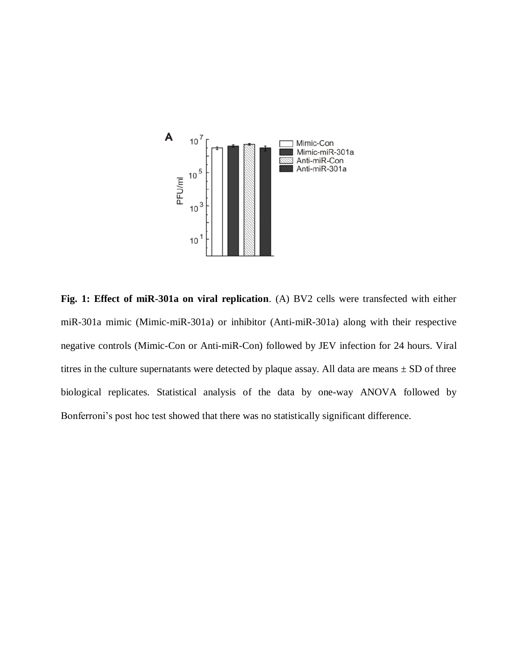

**Fig. 1: Effect of miR-301a on viral replication**. (A) BV2 cells were transfected with either miR-301a mimic (Mimic-miR-301a) or inhibitor (Anti-miR-301a) along with their respective negative controls (Mimic-Con or Anti-miR-Con) followed by JEV infection for 24 hours. Viral titres in the culture supernatants were detected by plaque assay. All data are means  $\pm$  SD of three biological replicates. Statistical analysis of the data by one-way ANOVA followed by Bonferroni's post hoc test showed that there was no statistically significant difference.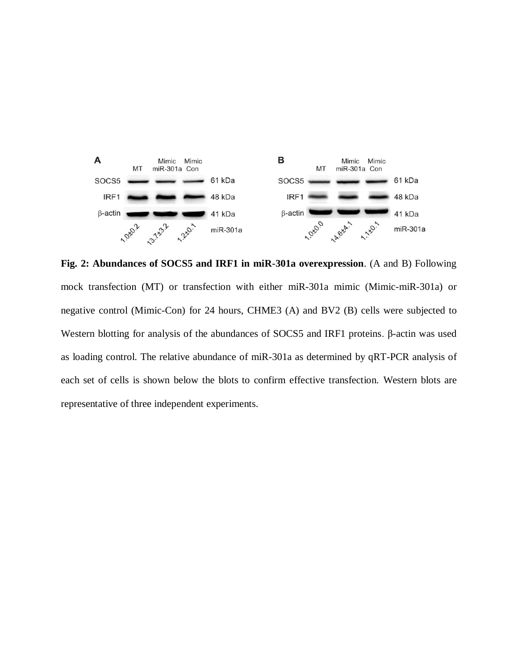

**Fig. 2: Abundances of SOCS5 and IRF1 in miR-301a overexpression**. (A and B) Following mock transfection (MT) or transfection with either miR-301a mimic (Mimic-miR-301a) or negative control (Mimic-Con) for 24 hours, CHME3 (A) and BV2 (B) cells were subjected to Western blotting for analysis of the abundances of SOCS5 and IRF1 proteins. β-actin was used as loading control. The relative abundance of miR-301a as determined by qRT-PCR analysis of each set of cells is shown below the blots to confirm effective transfection. Western blots are representative of three independent experiments.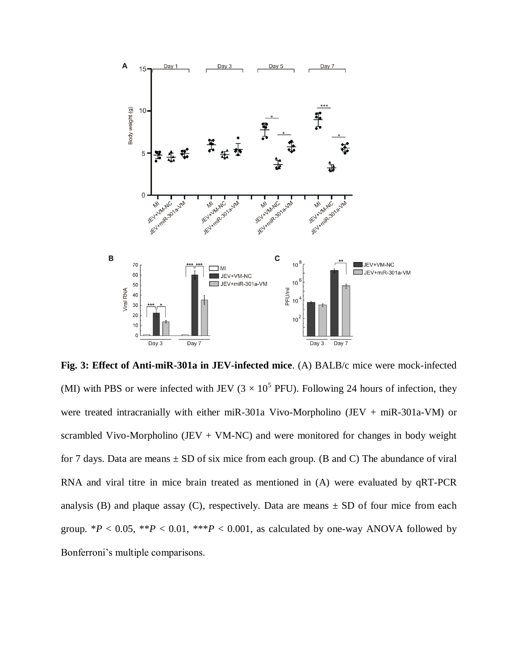

**Fig. 3: Effect of Anti-miR-301a in JEV-infected mice**. (A) BALB/c mice were mock-infected (MI) with PBS or were infected with JEV ( $3 \times 10^5$  PFU). Following 24 hours of infection, they were treated intracranially with either miR-301a Vivo-Morpholino (JEV + miR-301a-VM) or scrambled Vivo-Morpholino (JEV + VM-NC) and were monitored for changes in body weight for 7 days. Data are means  $\pm$  SD of six mice from each group. (B and C) The abundance of viral RNA and viral titre in mice brain treated as mentioned in (A) were evaluated by qRT-PCR analysis (B) and plaque assay (C), respectively. Data are means  $\pm$  SD of four mice from each group.  $*P < 0.05$ ,  $*P < 0.01$ ,  $**P < 0.001$ , as calculated by one-way ANOVA followed by Bonferroni's multiple comparisons.